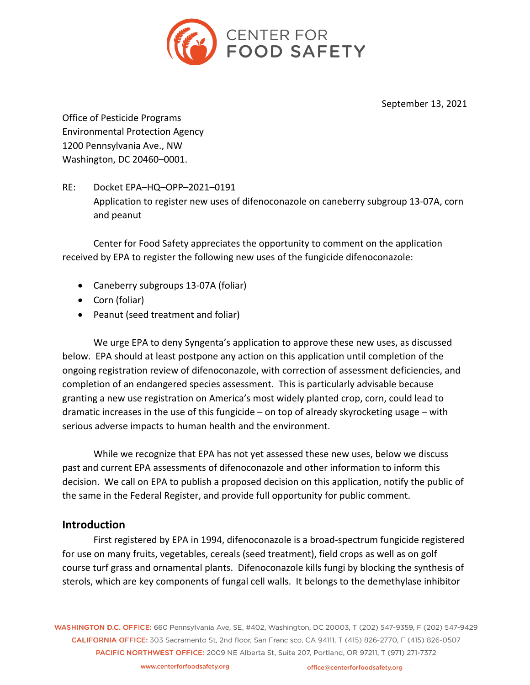

September 13, 2021

Office of Pesticide Programs Environmental Protection Agency 1200 Pennsylvania Ave., NW Washington, DC 20460–0001.

# RE: Docket EPA–HQ–OPP–2021–0191 Application to register new uses of difenoconazole on caneberry subgroup 13-07A, corn and peanut

Center for Food Safety appreciates the opportunity to comment on the application received by EPA to register the following new uses of the fungicide difenoconazole:

- Caneberry subgroups 13-07A (foliar)
- Corn (foliar)
- Peanut (seed treatment and foliar)

We urge EPA to deny Syngenta's application to approve these new uses, as discussed below. EPA should at least postpone any action on this application until completion of the ongoing registration review of difenoconazole, with correction of assessment deficiencies, and completion of an endangered species assessment. This is particularly advisable because granting a new use registration on America's most widely planted crop, corn, could lead to dramatic increases in the use of this fungicide – on top of already skyrocketing usage – with serious adverse impacts to human health and the environment.

While we recognize that EPA has not yet assessed these new uses, below we discuss past and current EPA assessments of difenoconazole and other information to inform this decision. We call on EPA to publish a proposed decision on this application, notify the public of the same in the Federal Register, and provide full opportunity for public comment.

### **Introduction**

First registered by EPA in 1994, difenoconazole is a broad-spectrum fungicide registered for use on many fruits, vegetables, cereals (seed treatment), field crops as well as on golf course turf grass and ornamental plants. Difenoconazole kills fungi by blocking the synthesis of sterols, which are key components of fungal cell walls. It belongs to the demethylase inhibitor

WASHINGTON D.C. OFFICE: 660 Pennsylvania Ave, SE, #402, Washington, DC 20003, T (202) 547-9359, F (202) 547-9429 CALIFORNIA OFFICE: 303 Sacramento St. 2nd floor. San Francisco, CA 94111. T (415) 826-2770. F (415) 826-0507 PACIFIC NORTHWEST OFFICE: 2009 NE Alberta St, Suite 207, Portland, OR 97211, T (971) 271-7372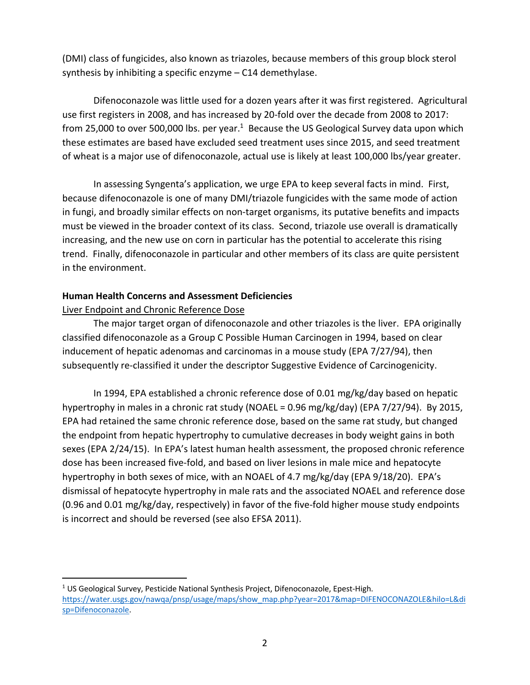(DMI) class of fungicides, also known as triazoles, because members of this group block sterol synthesis by inhibiting a specific enzyme – C14 demethylase.

Difenoconazole was little used for a dozen years after it was first registered. Agricultural use first registers in 2008, and has increased by 20-fold over the decade from 2008 to 2017: from 25,000 to over 500,000 lbs. per year. $1$  Because the US Geological Survey data upon which these estimates are based have excluded seed treatment uses since 2015, and seed treatment of wheat is a major use of difenoconazole, actual use is likely at least 100,000 lbs/year greater.

In assessing Syngenta's application, we urge EPA to keep several facts in mind. First, because difenoconazole is one of many DMI/triazole fungicides with the same mode of action in fungi, and broadly similar effects on non-target organisms, its putative benefits and impacts must be viewed in the broader context of its class. Second, triazole use overall is dramatically increasing, and the new use on corn in particular has the potential to accelerate this rising trend. Finally, difenoconazole in particular and other members of its class are quite persistent in the environment.

### **Human Health Concerns and Assessment Deficiencies**

### Liver Endpoint and Chronic Reference Dose

The major target organ of difenoconazole and other triazoles is the liver. EPA originally classified difenoconazole as a Group C Possible Human Carcinogen in 1994, based on clear inducement of hepatic adenomas and carcinomas in a mouse study (EPA 7/27/94), then subsequently re-classified it under the descriptor Suggestive Evidence of Carcinogenicity.

In 1994, EPA established a chronic reference dose of 0.01 mg/kg/day based on hepatic hypertrophy in males in a chronic rat study (NOAEL = 0.96 mg/kg/day) (EPA 7/27/94). By 2015, EPA had retained the same chronic reference dose, based on the same rat study, but changed the endpoint from hepatic hypertrophy to cumulative decreases in body weight gains in both sexes (EPA 2/24/15). In EPA's latest human health assessment, the proposed chronic reference dose has been increased five-fold, and based on liver lesions in male mice and hepatocyte hypertrophy in both sexes of mice, with an NOAEL of 4.7 mg/kg/day (EPA 9/18/20). EPA's dismissal of hepatocyte hypertrophy in male rats and the associated NOAEL and reference dose (0.96 and 0.01 mg/kg/day, respectively) in favor of the five-fold higher mouse study endpoints is incorrect and should be reversed (see also EFSA 2011).

<sup>1</sup> US Geological Survey, Pesticide National Synthesis Project, Difenoconazole, Epest-High. https://water.usgs.gov/nawqa/pnsp/usage/maps/show\_map.php?year=2017&map=DIFENOCONAZOLE&hilo=L&di sp=Difenoconazole.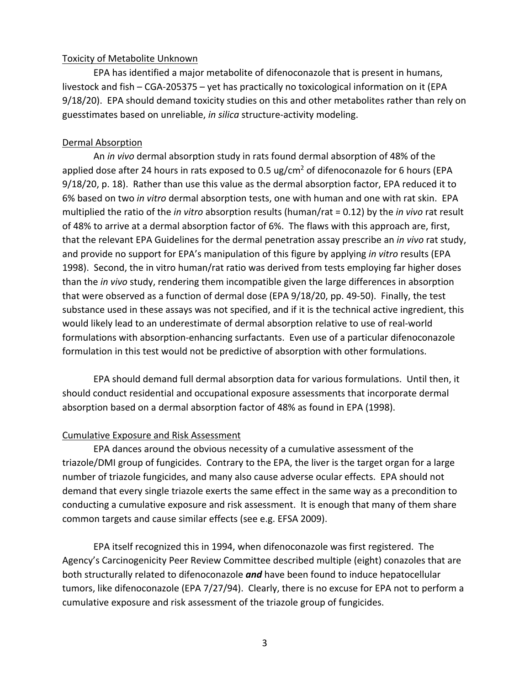#### Toxicity of Metabolite Unknown

EPA has identified a major metabolite of difenoconazole that is present in humans, livestock and fish – CGA-205375 – yet has practically no toxicological information on it (EPA 9/18/20). EPA should demand toxicity studies on this and other metabolites rather than rely on guesstimates based on unreliable, *in silica* structure-activity modeling.

#### Dermal Absorption

An *in vivo* dermal absorption study in rats found dermal absorption of 48% of the applied dose after 24 hours in rats exposed to 0.5 ug/cm<sup>2</sup> of difenoconazole for 6 hours (EPA 9/18/20, p. 18). Rather than use this value as the dermal absorption factor, EPA reduced it to 6% based on two *in vitro* dermal absorption tests, one with human and one with rat skin. EPA multiplied the ratio of the *in vitro* absorption results (human/rat = 0.12) by the *in vivo* rat result of 48% to arrive at a dermal absorption factor of 6%. The flaws with this approach are, first, that the relevant EPA Guidelines for the dermal penetration assay prescribe an *in vivo* rat study, and provide no support for EPA's manipulation of this figure by applying *in vitro* results (EPA 1998). Second, the in vitro human/rat ratio was derived from tests employing far higher doses than the *in vivo* study, rendering them incompatible given the large differences in absorption that were observed as a function of dermal dose (EPA 9/18/20, pp. 49-50). Finally, the test substance used in these assays was not specified, and if it is the technical active ingredient, this would likely lead to an underestimate of dermal absorption relative to use of real-world formulations with absorption-enhancing surfactants. Even use of a particular difenoconazole formulation in this test would not be predictive of absorption with other formulations.

EPA should demand full dermal absorption data for various formulations. Until then, it should conduct residential and occupational exposure assessments that incorporate dermal absorption based on a dermal absorption factor of 48% as found in EPA (1998).

#### Cumulative Exposure and Risk Assessment

EPA dances around the obvious necessity of a cumulative assessment of the triazole/DMI group of fungicides. Contrary to the EPA, the liver is the target organ for a large number of triazole fungicides, and many also cause adverse ocular effects. EPA should not demand that every single triazole exerts the same effect in the same way as a precondition to conducting a cumulative exposure and risk assessment. It is enough that many of them share common targets and cause similar effects (see e.g. EFSA 2009).

EPA itself recognized this in 1994, when difenoconazole was first registered. The Agency's Carcinogenicity Peer Review Committee described multiple (eight) conazoles that are both structurally related to difenoconazole *and* have been found to induce hepatocellular tumors, like difenoconazole (EPA 7/27/94). Clearly, there is no excuse for EPA not to perform a cumulative exposure and risk assessment of the triazole group of fungicides.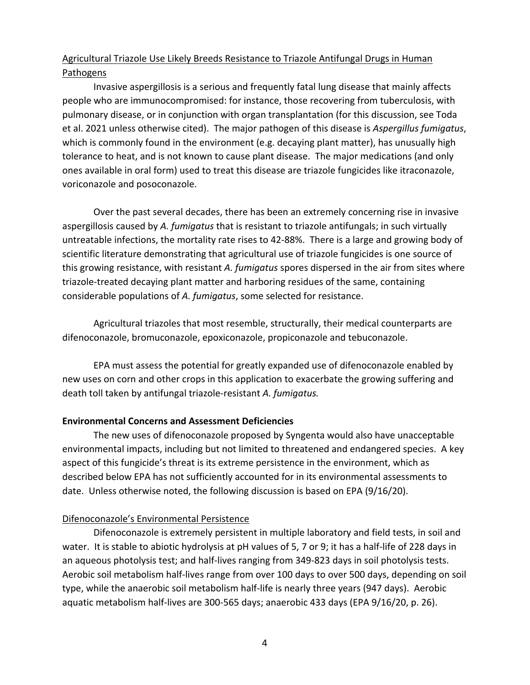# Agricultural Triazole Use Likely Breeds Resistance to Triazole Antifungal Drugs in Human Pathogens

Invasive aspergillosis is a serious and frequently fatal lung disease that mainly affects people who are immunocompromised: for instance, those recovering from tuberculosis, with pulmonary disease, or in conjunction with organ transplantation (for this discussion, see Toda et al. 2021 unless otherwise cited). The major pathogen of this disease is *Aspergillus fumigatus*, which is commonly found in the environment (e.g. decaying plant matter), has unusually high tolerance to heat, and is not known to cause plant disease. The major medications (and only ones available in oral form) used to treat this disease are triazole fungicides like itraconazole, voriconazole and posoconazole.

Over the past several decades, there has been an extremely concerning rise in invasive aspergillosis caused by *A. fumigatus* that is resistant to triazole antifungals; in such virtually untreatable infections, the mortality rate rises to 42-88%. There is a large and growing body of scientific literature demonstrating that agricultural use of triazole fungicides is one source of this growing resistance, with resistant *A. fumigatus* spores dispersed in the air from sites where triazole-treated decaying plant matter and harboring residues of the same, containing considerable populations of *A. fumigatus*, some selected for resistance.

Agricultural triazoles that most resemble, structurally, their medical counterparts are difenoconazole, bromuconazole, epoxiconazole, propiconazole and tebuconazole.

EPA must assess the potential for greatly expanded use of difenoconazole enabled by new uses on corn and other crops in this application to exacerbate the growing suffering and death toll taken by antifungal triazole-resistant *A. fumigatus.*

### **Environmental Concerns and Assessment Deficiencies**

The new uses of difenoconazole proposed by Syngenta would also have unacceptable environmental impacts, including but not limited to threatened and endangered species. A key aspect of this fungicide's threat is its extreme persistence in the environment, which as described below EPA has not sufficiently accounted for in its environmental assessments to date. Unless otherwise noted, the following discussion is based on EPA (9/16/20).

### Difenoconazole's Environmental Persistence

Difenoconazole is extremely persistent in multiple laboratory and field tests, in soil and water. It is stable to abiotic hydrolysis at pH values of 5, 7 or 9; it has a half-life of 228 days in an aqueous photolysis test; and half-lives ranging from 349-823 days in soil photolysis tests. Aerobic soil metabolism half-lives range from over 100 days to over 500 days, depending on soil type, while the anaerobic soil metabolism half-life is nearly three years (947 days). Aerobic aquatic metabolism half-lives are 300-565 days; anaerobic 433 days (EPA 9/16/20, p. 26).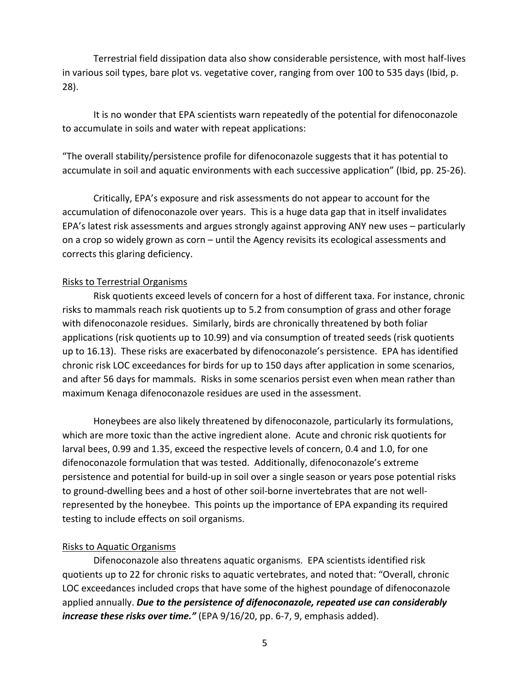Terrestrial field dissipation data also show considerable persistence, with most half-lives in various soil types, bare plot vs. vegetative cover, ranging from over 100 to 535 days (Ibid, p. 28).

It is no wonder that EPA scientists warn repeatedly of the potential for difenoconazole to accumulate in soils and water with repeat applications:

"The overall stability/persistence profile for difenoconazole suggests that it has potential to accumulate in soil and aquatic environments with each successive application" (Ibid, pp. 25-26).

Critically, EPA's exposure and risk assessments do not appear to account for the accumulation of difenoconazole over years. This is a huge data gap that in itself invalidates EPA's latest risk assessments and argues strongly against approving ANY new uses – particularly on a crop so widely grown as corn – until the Agency revisits its ecological assessments and corrects this glaring deficiency.

#### Risks to Terrestrial Organisms

Risk quotients exceed levels of concern for a host of different taxa. For instance, chronic risks to mammals reach risk quotients up to 5.2 from consumption of grass and other forage with difenoconazole residues. Similarly, birds are chronically threatened by both foliar applications (risk quotients up to 10.99) and via consumption of treated seeds (risk quotients up to 16.13). These risks are exacerbated by difenoconazole's persistence. EPA has identified chronic risk LOC exceedances for birds for up to 150 days after application in some scenarios, and after 56 days for mammals. Risks in some scenarios persist even when mean rather than maximum Kenaga difenoconazole residues are used in the assessment.

Honeybees are also likely threatened by difenoconazole, particularly its formulations, which are more toxic than the active ingredient alone. Acute and chronic risk quotients for larval bees, 0.99 and 1.35, exceed the respective levels of concern, 0.4 and 1.0, for one difenoconazole formulation that was tested. Additionally, difenoconazole's extreme persistence and potential for build-up in soil over a single season or years pose potential risks to ground-dwelling bees and a host of other soil-borne invertebrates that are not wellrepresented by the honeybee. This points up the importance of EPA expanding its required testing to include effects on soil organisms.

#### Risks to Aquatic Organisms

Difenoconazole also threatens aquatic organisms. EPA scientists identified risk quotients up to 22 for chronic risks to aquatic vertebrates, and noted that: "Overall, chronic LOC exceedances included crops that have some of the highest poundage of difenoconazole applied annually. *Due to the persistence of difenoconazole, repeated use can considerably increase these risks over time."* (EPA 9/16/20, pp. 6-7, 9, emphasis added).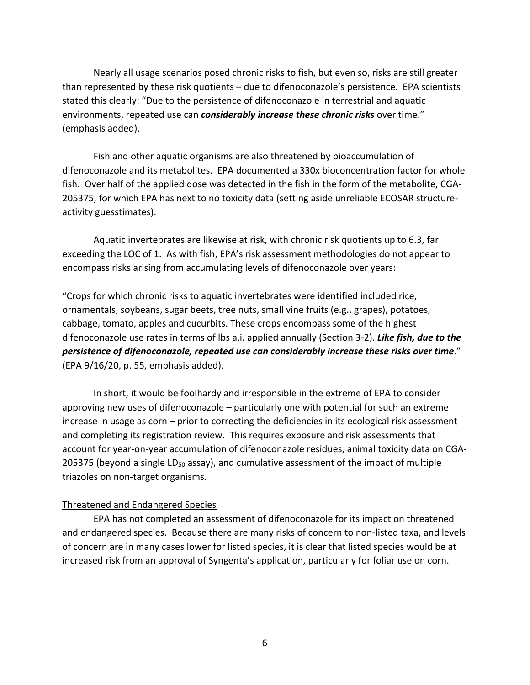Nearly all usage scenarios posed chronic risks to fish, but even so, risks are still greater than represented by these risk quotients – due to difenoconazole's persistence. EPA scientists stated this clearly: "Due to the persistence of difenoconazole in terrestrial and aquatic environments, repeated use can *considerably increase these chronic risks* over time." (emphasis added).

Fish and other aquatic organisms are also threatened by bioaccumulation of difenoconazole and its metabolites. EPA documented a 330x bioconcentration factor for whole fish. Over half of the applied dose was detected in the fish in the form of the metabolite, CGA-205375, for which EPA has next to no toxicity data (setting aside unreliable ECOSAR structureactivity guesstimates).

Aquatic invertebrates are likewise at risk, with chronic risk quotients up to 6.3, far exceeding the LOC of 1. As with fish, EPA's risk assessment methodologies do not appear to encompass risks arising from accumulating levels of difenoconazole over years:

"Crops for which chronic risks to aquatic invertebrates were identified included rice, ornamentals, soybeans, sugar beets, tree nuts, small vine fruits (e.g., grapes), potatoes, cabbage, tomato, apples and cucurbits. These crops encompass some of the highest difenoconazole use rates in terms of lbs a.i. applied annually (Section 3-2). *Like fish, due to the persistence of difenoconazole, repeated use can considerably increase these risks over time*." (EPA 9/16/20, p. 55, emphasis added).

In short, it would be foolhardy and irresponsible in the extreme of EPA to consider approving new uses of difenoconazole – particularly one with potential for such an extreme increase in usage as corn – prior to correcting the deficiencies in its ecological risk assessment and completing its registration review. This requires exposure and risk assessments that account for year-on-year accumulation of difenoconazole residues, animal toxicity data on CGA-205375 (beyond a single LD<sub>50</sub> assay), and cumulative assessment of the impact of multiple triazoles on non-target organisms.

#### Threatened and Endangered Species

EPA has not completed an assessment of difenoconazole for its impact on threatened and endangered species. Because there are many risks of concern to non-listed taxa, and levels of concern are in many cases lower for listed species, it is clear that listed species would be at increased risk from an approval of Syngenta's application, particularly for foliar use on corn.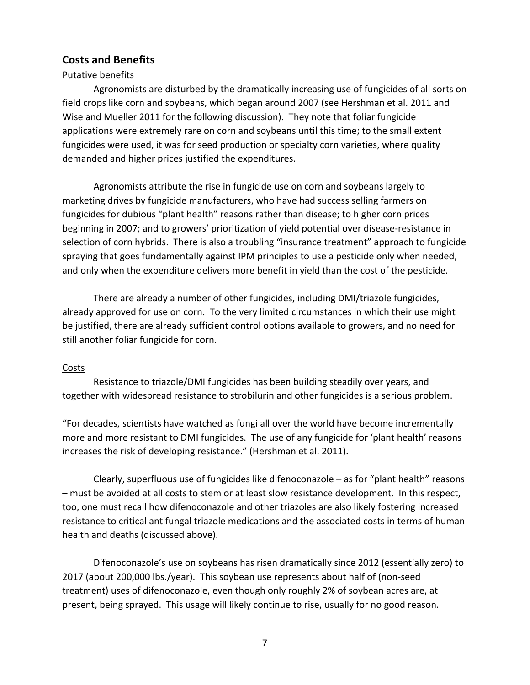### **Costs and Benefits**

#### Putative benefits

Agronomists are disturbed by the dramatically increasing use of fungicides of all sorts on field crops like corn and soybeans, which began around 2007 (see Hershman et al. 2011 and Wise and Mueller 2011 for the following discussion). They note that foliar fungicide applications were extremely rare on corn and soybeans until this time; to the small extent fungicides were used, it was for seed production or specialty corn varieties, where quality demanded and higher prices justified the expenditures.

Agronomists attribute the rise in fungicide use on corn and soybeans largely to marketing drives by fungicide manufacturers, who have had success selling farmers on fungicides for dubious "plant health" reasons rather than disease; to higher corn prices beginning in 2007; and to growers' prioritization of yield potential over disease-resistance in selection of corn hybrids. There is also a troubling "insurance treatment" approach to fungicide spraying that goes fundamentally against IPM principles to use a pesticide only when needed, and only when the expenditure delivers more benefit in yield than the cost of the pesticide.

There are already a number of other fungicides, including DMI/triazole fungicides, already approved for use on corn. To the very limited circumstances in which their use might be justified, there are already sufficient control options available to growers, and no need for still another foliar fungicide for corn.

#### **Costs**

Resistance to triazole/DMI fungicides has been building steadily over years, and together with widespread resistance to strobilurin and other fungicides is a serious problem.

"For decades, scientists have watched as fungi all over the world have become incrementally more and more resistant to DMI fungicides. The use of any fungicide for 'plant health' reasons increases the risk of developing resistance." (Hershman et al. 2011).

Clearly, superfluous use of fungicides like difenoconazole – as for "plant health" reasons – must be avoided at all costs to stem or at least slow resistance development. In this respect, too, one must recall how difenoconazole and other triazoles are also likely fostering increased resistance to critical antifungal triazole medications and the associated costs in terms of human health and deaths (discussed above).

Difenoconazole's use on soybeans has risen dramatically since 2012 (essentially zero) to 2017 (about 200,000 lbs./year). This soybean use represents about half of (non-seed treatment) uses of difenoconazole, even though only roughly 2% of soybean acres are, at present, being sprayed. This usage will likely continue to rise, usually for no good reason.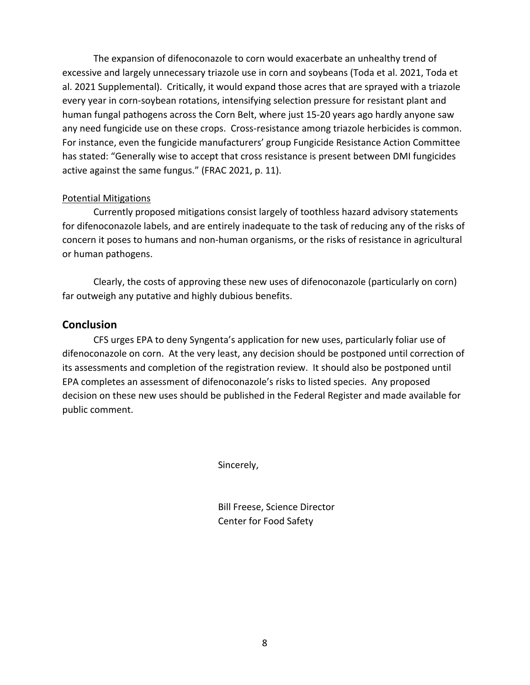The expansion of difenoconazole to corn would exacerbate an unhealthy trend of excessive and largely unnecessary triazole use in corn and soybeans (Toda et al. 2021, Toda et al. 2021 Supplemental). Critically, it would expand those acres that are sprayed with a triazole every year in corn-soybean rotations, intensifying selection pressure for resistant plant and human fungal pathogens across the Corn Belt, where just 15-20 years ago hardly anyone saw any need fungicide use on these crops. Cross-resistance among triazole herbicides is common. For instance, even the fungicide manufacturers' group Fungicide Resistance Action Committee has stated: "Generally wise to accept that cross resistance is present between DMI fungicides active against the same fungus." (FRAC 2021, p. 11).

#### Potential Mitigations

Currently proposed mitigations consist largely of toothless hazard advisory statements for difenoconazole labels, and are entirely inadequate to the task of reducing any of the risks of concern it poses to humans and non-human organisms, or the risks of resistance in agricultural or human pathogens.

Clearly, the costs of approving these new uses of difenoconazole (particularly on corn) far outweigh any putative and highly dubious benefits.

### **Conclusion**

CFS urges EPA to deny Syngenta's application for new uses, particularly foliar use of difenoconazole on corn. At the very least, any decision should be postponed until correction of its assessments and completion of the registration review. It should also be postponed until EPA completes an assessment of difenoconazole's risks to listed species. Any proposed decision on these new uses should be published in the Federal Register and made available for public comment.

Sincerely,

Bill Freese, Science Director Center for Food Safety